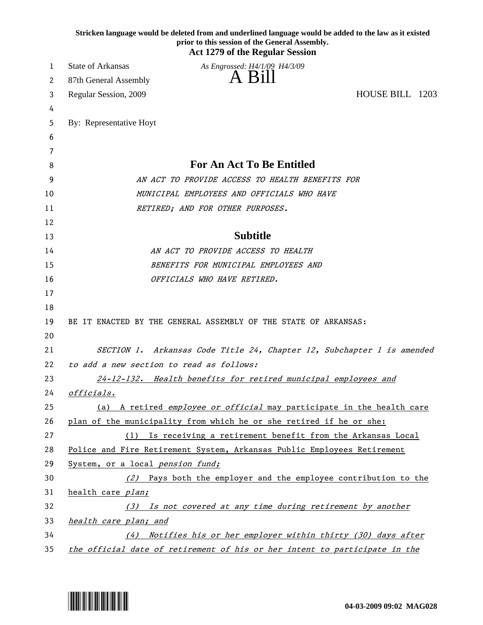|    | Stricken language would be deleted from and underlined language would be added to the law as it existed<br>prior to this session of the General Assembly.<br><b>Act 1279 of the Regular Session</b> |
|----|-----------------------------------------------------------------------------------------------------------------------------------------------------------------------------------------------------|
| 1  | State of Arkansas<br>As Engrossed: H4/1/09 H4/3/09                                                                                                                                                  |
| 2  | A Bill<br>87th General Assembly                                                                                                                                                                     |
| 3  | HOUSE BILL 1203<br>Regular Session, 2009                                                                                                                                                            |
| 4  |                                                                                                                                                                                                     |
| 5  | By: Representative Hoyt                                                                                                                                                                             |
| 6  |                                                                                                                                                                                                     |
| 7  |                                                                                                                                                                                                     |
| 8  | <b>For An Act To Be Entitled</b>                                                                                                                                                                    |
| 9  | AN ACT TO PROVIDE ACCESS TO HEALTH BENEFITS FOR                                                                                                                                                     |
| 10 | MUNICIPAL EMPLOYEES AND OFFICIALS WHO HAVE                                                                                                                                                          |
| 11 | RETIRED; AND FOR OTHER PURPOSES.                                                                                                                                                                    |
| 12 |                                                                                                                                                                                                     |
| 13 | <b>Subtitle</b>                                                                                                                                                                                     |
| 14 | AN ACT TO PROVIDE ACCESS TO HEALTH                                                                                                                                                                  |
| 15 | BENEFITS FOR MUNICIPAL EMPLOYEES AND                                                                                                                                                                |
| 16 | OFFICIALS WHO HAVE RETIRED.                                                                                                                                                                         |
| 17 |                                                                                                                                                                                                     |
| 18 |                                                                                                                                                                                                     |
| 19 | BE IT ENACTED BY THE GENERAL ASSEMBLY OF THE STATE OF ARKANSAS:                                                                                                                                     |
| 20 |                                                                                                                                                                                                     |
| 21 | SECTION 1. Arkansas Code Title 24, Chapter 12, Subchapter 1 is amended                                                                                                                              |
| 22 | to add a new section to read as follows:                                                                                                                                                            |
| 23 | 24-12-132. Health benefits for retired municipal employees and                                                                                                                                      |
| 24 | officials.                                                                                                                                                                                          |
| 25 | (a) A retired employee or official may participate in the health care                                                                                                                               |
| 26 | plan of the municipality from which he or she retired if he or she:                                                                                                                                 |
| 27 | Is receiving a retirement benefit from the Arkansas Local<br>(1)                                                                                                                                    |
| 28 | Police and Fire Retirement System, Arkansas Public Employees Retirement                                                                                                                             |
| 29 | System, or a local pension fund;                                                                                                                                                                    |
| 30 | (2) Pays both the employer and the employee contribution to the                                                                                                                                     |
| 31 | health care plan;                                                                                                                                                                                   |
| 32 | (3) Is not covered at any time during retirement by another                                                                                                                                         |
| 33 | health care plan; and                                                                                                                                                                               |
| 34 | Notifies his or her employer within thirty (30) days after<br>(4)                                                                                                                                   |
| 35 | the official date of retirement of his or her intent to participate in the                                                                                                                          |